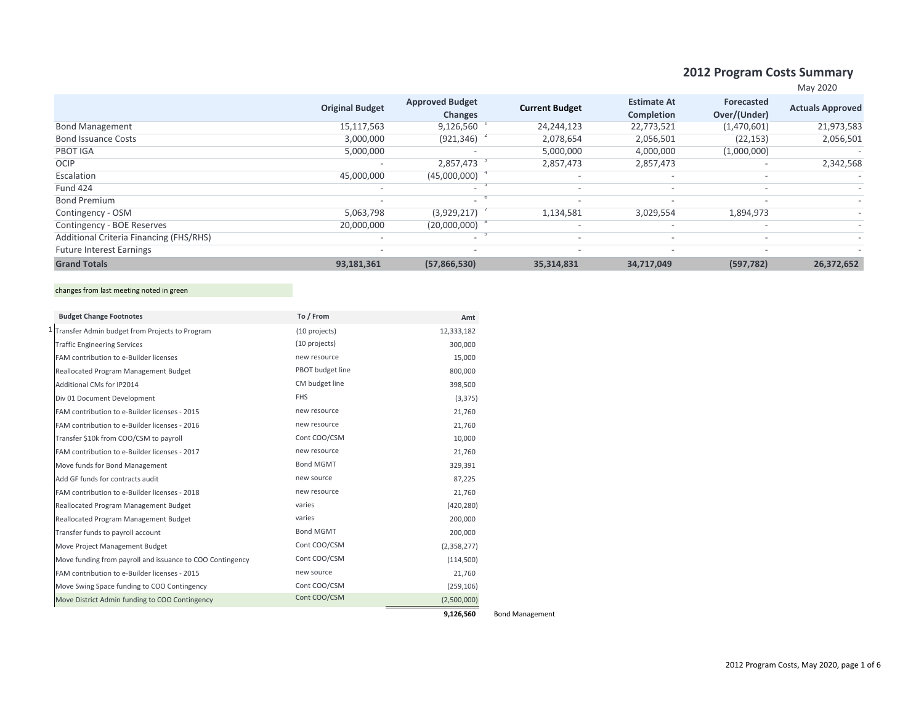## **2012 Program Costs Summary**

| May | 2020 |
|-----|------|

|                                         |                          |                                          |                          |                                         |                            | $11141 + 1011$          |
|-----------------------------------------|--------------------------|------------------------------------------|--------------------------|-----------------------------------------|----------------------------|-------------------------|
|                                         | <b>Original Budget</b>   | <b>Approved Budget</b><br><b>Changes</b> | <b>Current Budget</b>    | <b>Estimate At</b><br><b>Completion</b> | Forecasted<br>Over/(Under) | <b>Actuals Approved</b> |
| <b>Bond Management</b>                  | 15,117,563               | 9,126,560                                | 24,244,123               | 22,773,521                              | (1,470,601)                | 21,973,583              |
| <b>Bond Issuance Costs</b>              | 3,000,000                | (921, 346)                               | 2,078,654                | 2,056,501                               | (22, 153)                  | 2,056,501               |
| PBOT IGA                                | 5,000,000                |                                          | 5,000,000                | 4,000,000                               | (1,000,000)                |                         |
| <b>OCIP</b>                             | $\overline{\phantom{a}}$ | 2,857,473                                | 2,857,473                | 2,857,473                               |                            | 2,342,568               |
| Escalation                              | 45,000,000               | (45,000,000)                             |                          |                                         | $\overline{\phantom{a}}$   |                         |
| <b>Fund 424</b>                         | $\overline{\phantom{0}}$ | $\sim$                                   | $\overline{\phantom{a}}$ | $\sim$                                  | $\overline{\phantom{a}}$   |                         |
| <b>Bond Premium</b>                     | $\sim$                   | - 6<br>$\overline{\phantom{0}}$          | $\overline{\phantom{a}}$ |                                         | $\overline{\phantom{a}}$   |                         |
| Contingency - OSM                       | 5,063,798                | (3,929,217)                              | 1,134,581                | 3,029,554                               | 1,894,973                  |                         |
| Contingency - BOE Reserves              | 20,000,000               | (20,000,000)                             | $\overline{\phantom{a}}$ | $\overline{\phantom{0}}$                | $\overline{\phantom{a}}$   |                         |
| Additional Criteria Financing (FHS/RHS) | $\overline{\phantom{0}}$ |                                          | $\overline{\phantom{a}}$ | $\sim$                                  | $\overline{\phantom{a}}$   |                         |
| <b>Future Interest Earnings</b>         | $\overline{\phantom{0}}$ |                                          | $\overline{\phantom{a}}$ | $\overline{\phantom{0}}$                | $\overline{\phantom{a}}$   |                         |
| <b>Grand Totals</b>                     | 93,181,361               | (57,866,530)                             | 35,314,831               | 34,717,049                              | (597, 782)                 | 26,372,652              |

## changes from last meeting noted in green

| Transfer Admin budget from Projects to Program<br>(10 projects)<br>12,333,182<br>(10 projects)<br><b>Traffic Engineering Services</b><br>300,000<br>new resource<br>FAM contribution to e-Builder licenses<br>15,000<br>PBOT budget line<br>Reallocated Program Management Budget<br>800,000<br>CM budget line<br>Additional CMs for IP2014<br>398,500<br><b>FHS</b><br>Div 01 Document Development<br>(3, 375)<br>new resource<br>FAM contribution to e-Builder licenses - 2015<br>21,760<br>FAM contribution to e-Builder licenses - 2016<br>new resource<br>21,760<br>Cont COO/CSM<br>10,000<br>Transfer \$10k from COO/CSM to payroll<br>new resource<br>FAM contribution to e-Builder licenses - 2017<br>21,760<br><b>Bond MGMT</b><br>Move funds for Bond Management<br>329,391<br>Add GF funds for contracts audit<br>new source<br>87,225<br>new resource<br>FAM contribution to e-Builder licenses - 2018<br>21,760<br>varies<br>Reallocated Program Management Budget<br>(420, 280)<br>varies<br>200,000<br>Reallocated Program Management Budget |
|-------------------------------------------------------------------------------------------------------------------------------------------------------------------------------------------------------------------------------------------------------------------------------------------------------------------------------------------------------------------------------------------------------------------------------------------------------------------------------------------------------------------------------------------------------------------------------------------------------------------------------------------------------------------------------------------------------------------------------------------------------------------------------------------------------------------------------------------------------------------------------------------------------------------------------------------------------------------------------------------------------------------------------------------------------------|
|                                                                                                                                                                                                                                                                                                                                                                                                                                                                                                                                                                                                                                                                                                                                                                                                                                                                                                                                                                                                                                                             |
|                                                                                                                                                                                                                                                                                                                                                                                                                                                                                                                                                                                                                                                                                                                                                                                                                                                                                                                                                                                                                                                             |
|                                                                                                                                                                                                                                                                                                                                                                                                                                                                                                                                                                                                                                                                                                                                                                                                                                                                                                                                                                                                                                                             |
|                                                                                                                                                                                                                                                                                                                                                                                                                                                                                                                                                                                                                                                                                                                                                                                                                                                                                                                                                                                                                                                             |
|                                                                                                                                                                                                                                                                                                                                                                                                                                                                                                                                                                                                                                                                                                                                                                                                                                                                                                                                                                                                                                                             |
|                                                                                                                                                                                                                                                                                                                                                                                                                                                                                                                                                                                                                                                                                                                                                                                                                                                                                                                                                                                                                                                             |
|                                                                                                                                                                                                                                                                                                                                                                                                                                                                                                                                                                                                                                                                                                                                                                                                                                                                                                                                                                                                                                                             |
|                                                                                                                                                                                                                                                                                                                                                                                                                                                                                                                                                                                                                                                                                                                                                                                                                                                                                                                                                                                                                                                             |
|                                                                                                                                                                                                                                                                                                                                                                                                                                                                                                                                                                                                                                                                                                                                                                                                                                                                                                                                                                                                                                                             |
|                                                                                                                                                                                                                                                                                                                                                                                                                                                                                                                                                                                                                                                                                                                                                                                                                                                                                                                                                                                                                                                             |
|                                                                                                                                                                                                                                                                                                                                                                                                                                                                                                                                                                                                                                                                                                                                                                                                                                                                                                                                                                                                                                                             |
|                                                                                                                                                                                                                                                                                                                                                                                                                                                                                                                                                                                                                                                                                                                                                                                                                                                                                                                                                                                                                                                             |
|                                                                                                                                                                                                                                                                                                                                                                                                                                                                                                                                                                                                                                                                                                                                                                                                                                                                                                                                                                                                                                                             |
|                                                                                                                                                                                                                                                                                                                                                                                                                                                                                                                                                                                                                                                                                                                                                                                                                                                                                                                                                                                                                                                             |
|                                                                                                                                                                                                                                                                                                                                                                                                                                                                                                                                                                                                                                                                                                                                                                                                                                                                                                                                                                                                                                                             |
| <b>Bond MGMT</b><br>Transfer funds to payroll account<br>200,000                                                                                                                                                                                                                                                                                                                                                                                                                                                                                                                                                                                                                                                                                                                                                                                                                                                                                                                                                                                            |
| Cont COO/CSM<br>Move Project Management Budget<br>(2,358,277)                                                                                                                                                                                                                                                                                                                                                                                                                                                                                                                                                                                                                                                                                                                                                                                                                                                                                                                                                                                               |
| Cont COO/CSM<br>Move funding from payroll and issuance to COO Contingency<br>(114,500)                                                                                                                                                                                                                                                                                                                                                                                                                                                                                                                                                                                                                                                                                                                                                                                                                                                                                                                                                                      |
| new source<br>FAM contribution to e-Builder licenses - 2015<br>21,760                                                                                                                                                                                                                                                                                                                                                                                                                                                                                                                                                                                                                                                                                                                                                                                                                                                                                                                                                                                       |
| Cont COO/CSM<br>Move Swing Space funding to COO Contingency<br>(259, 106)                                                                                                                                                                                                                                                                                                                                                                                                                                                                                                                                                                                                                                                                                                                                                                                                                                                                                                                                                                                   |
| Cont COO/CSM<br>Move District Admin funding to COO Contingency<br>(2,500,000)                                                                                                                                                                                                                                                                                                                                                                                                                                                                                                                                                                                                                                                                                                                                                                                                                                                                                                                                                                               |

**9,126,560** Bond Management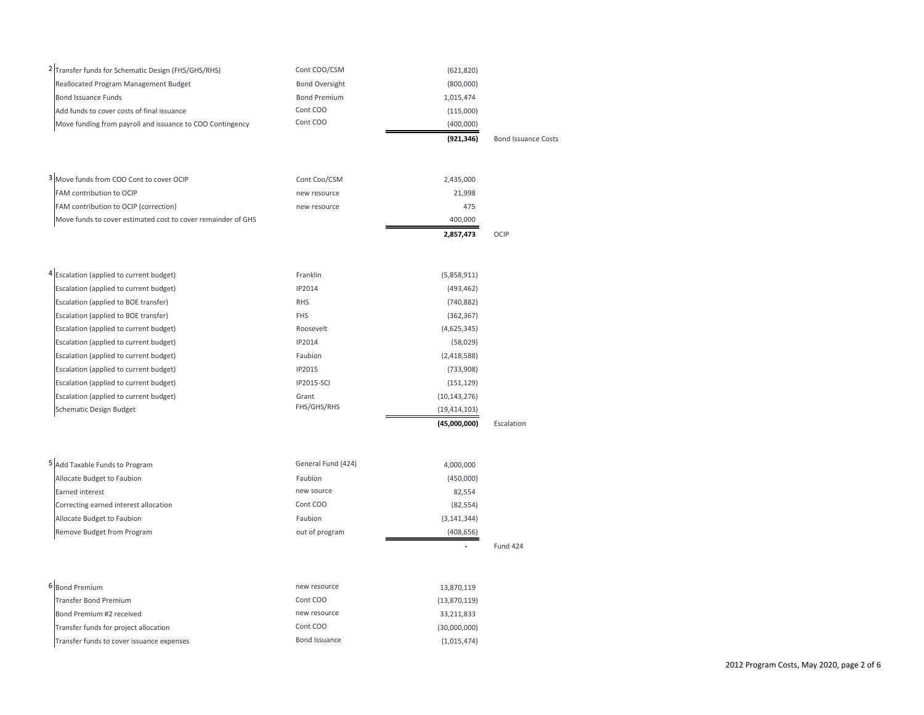|                                                                | Cont COO              | (400,000)  |  |
|----------------------------------------------------------------|-----------------------|------------|--|
| Move funding from payroll and issuance to COO Contingency      |                       |            |  |
| Add funds to cover costs of final issuance                     | Cont COO              | (115,000)  |  |
| Bond Issuance Funds                                            | <b>Bond Premium</b>   | 1.015.474  |  |
| Reallocated Program Management Budget                          | <b>Bond Oversight</b> | (800,000)  |  |
| <sup>2</sup> Transfer funds for Schematic Design (FHS/GHS/RHS) | Cont COO/CSM          | (621, 820) |  |

| 3 Move funds from COO Cont to cover OCIP                     | Cont Coo/CSM | 2.435.000 |  |
|--------------------------------------------------------------|--------------|-----------|--|
| <b>FAM</b> contribution to OCIP                              | new resource | 21.998    |  |
| <b>FAM</b> contribution to OCIP (correction)                 | new resource | 475       |  |
| Move funds to cover estimated cost to cover remainder of GHS |              | 400.000   |  |

**2,857,473** OCIP

|                                                     |                   | (45,000,000)   | Escalation |
|-----------------------------------------------------|-------------------|----------------|------------|
| Schematic Design Budget                             | FHS/GHS/RHS       | (19, 414, 103) |            |
| Escalation (applied to current budget)              | Grant             | (10, 143, 276) |            |
| Escalation (applied to current budget)              | <b>IP2015-SCI</b> | (151, 129)     |            |
| Escalation (applied to current budget)              | IP2015            | (733,908)      |            |
| Escalation (applied to current budget)              | Faubion           | (2,418,588)    |            |
| Escalation (applied to current budget)              | IP2014            | (58,029)       |            |
| Escalation (applied to current budget)              | Roosevelt         | (4,625,345)    |            |
| Escalation (applied to BOE transfer)                | <b>FHS</b>        | (362, 367)     |            |
| Escalation (applied to BOE transfer)                | <b>RHS</b>        | (740, 882)     |            |
| Escalation (applied to current budget)              | IP2014            | (493, 462)     |            |
| <sup>4</sup> Escalation (applied to current budget) | Franklin          | (5,858,911)    |            |

| 5 Add Taxable Funds to Program        | General Fund (424) | 4,000,000     |          |
|---------------------------------------|--------------------|---------------|----------|
| Allocate Budget to Faubion            | Faubion            | (450,000)     |          |
| Earned interest                       | new source         | 82,554        |          |
| Correcting earned interest allocation | Cont COO           | (82, 554)     |          |
| Allocate Budget to Faubion            | Faubion            | (3, 141, 344) |          |
| Remove Budget from Program            | out of program     | (408, 656)    |          |
|                                       |                    |               | Fund 424 |

| 6 Bond Premium                            | new resource  | 13,870,119   |
|-------------------------------------------|---------------|--------------|
| Transfer Bond Premium                     | Cont COO      | (13,870,119) |
| Bond Premium #2 received                  | new resource  | 33,211,833   |
| Transfer funds for project allocation     | Cont COO      | (30,000,000) |
| Transfer funds to cover issuance expenses | Bond Issuance | (1,015,474)  |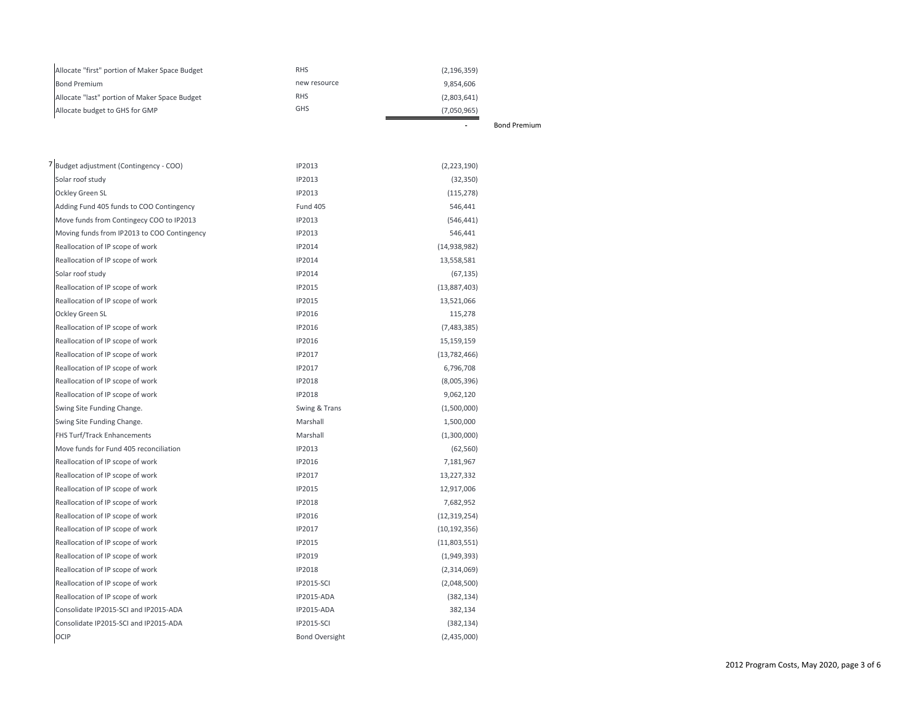| Allocate "first" portion of Maker Space Budget | <b>RHS</b>   | (2, 196, 359)       |
|------------------------------------------------|--------------|---------------------|
| <b>Bond Premium</b>                            | new resource | 9.854.606           |
| Allocate "last" portion of Maker Space Budget  | RHS          | (2,803,641)         |
| Allocate budget to GHS for GMP                 | <b>GHS</b>   | (7,050,965)         |
|                                                |              | <b>Bond Premium</b> |

| Budget adjustment (Contingency - COO)       | IP2013                | (2,223,190)    |
|---------------------------------------------|-----------------------|----------------|
| Solar roof study                            | IP2013                | (32, 350)      |
| Ockley Green SL                             | IP2013                | (115, 278)     |
| Adding Fund 405 funds to COO Contingency    | <b>Fund 405</b>       | 546,441        |
| Move funds from Contingecy COO to IP2013    | IP2013                | (546, 441)     |
| Moving funds from IP2013 to COO Contingency | IP2013                | 546,441        |
| Reallocation of IP scope of work            | IP2014                | (14, 938, 982) |
| Reallocation of IP scope of work            | IP2014                | 13,558,581     |
| Solar roof study                            | IP2014                | (67, 135)      |
| Reallocation of IP scope of work            | IP2015                | (13,887,403)   |
| Reallocation of IP scope of work            | IP2015                | 13,521,066     |
| Ockley Green SL                             | IP2016                | 115,278        |
| Reallocation of IP scope of work            | IP2016                | (7,483,385)    |
| Reallocation of IP scope of work            | IP2016                | 15,159,159     |
| Reallocation of IP scope of work            | IP2017                | (13, 782, 466) |
| Reallocation of IP scope of work            | IP2017                | 6,796,708      |
| Reallocation of IP scope of work            | IP2018                | (8,005,396)    |
| Reallocation of IP scope of work            | IP2018                | 9,062,120      |
| Swing Site Funding Change.                  | Swing & Trans         | (1,500,000)    |
| Swing Site Funding Change.                  | Marshall              | 1,500,000      |
| FHS Turf/Track Enhancements                 | Marshall              | (1,300,000)    |
| Move funds for Fund 405 reconciliation      | IP2013                | (62, 560)      |
| Reallocation of IP scope of work            | IP2016                | 7,181,967      |
| Reallocation of IP scope of work            | IP2017                | 13,227,332     |
| Reallocation of IP scope of work            | IP2015                | 12,917,006     |
| Reallocation of IP scope of work            | <b>IP2018</b>         | 7,682,952      |
| Reallocation of IP scope of work            | IP2016                | (12, 319, 254) |
| Reallocation of IP scope of work            | IP2017                | (10, 192, 356) |
| Reallocation of IP scope of work            | IP2015                | (11,803,551)   |
| Reallocation of IP scope of work            | IP2019                | (1,949,393)    |
| Reallocation of IP scope of work            | IP2018                | (2,314,069)    |
| Reallocation of IP scope of work            | <b>IP2015-SCI</b>     | (2,048,500)    |
| Reallocation of IP scope of work            | <b>IP2015-ADA</b>     | (382, 134)     |
| Consolidate IP2015-SCI and IP2015-ADA       | IP2015-ADA            | 382,134        |
| Consolidate IP2015-SCI and IP2015-ADA       | <b>IP2015-SCI</b>     | (382, 134)     |
| OCIP                                        | <b>Bond Oversight</b> | (2,435,000)    |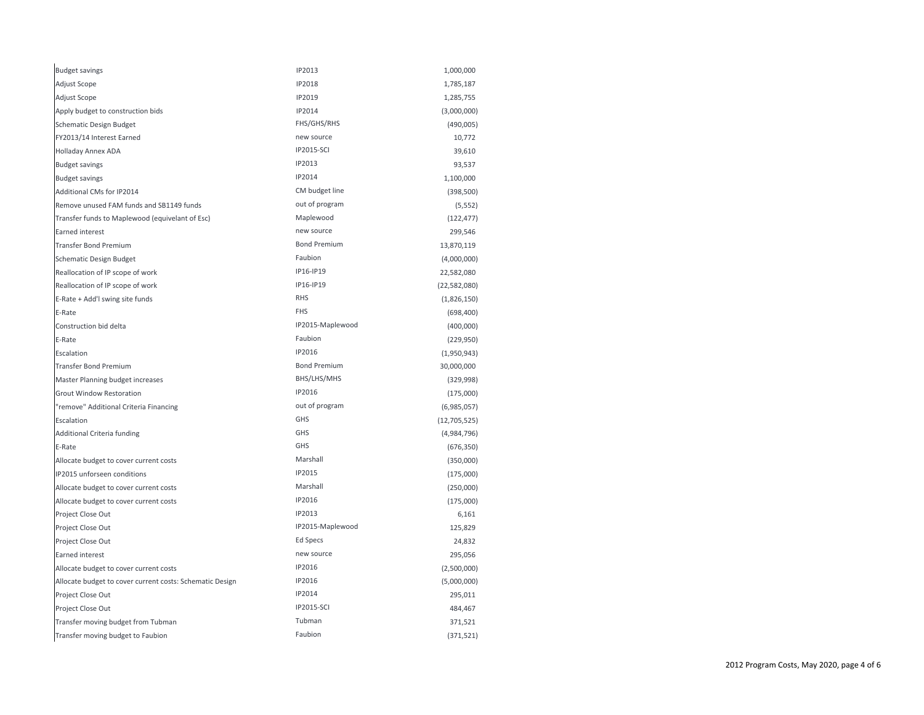| <b>Budget savings</b>                                    | IP2013              | 1,000,000      |
|----------------------------------------------------------|---------------------|----------------|
| Adjust Scope                                             | IP2018              | 1,785,187      |
| Adjust Scope                                             | IP2019              | 1,285,755      |
| Apply budget to construction bids                        | IP2014              | (3,000,000)    |
| Schematic Design Budget                                  | FHS/GHS/RHS         | (490,005)      |
| FY2013/14 Interest Earned                                | new source          | 10,772         |
| Holladay Annex ADA                                       | <b>IP2015-SCI</b>   | 39,610         |
| <b>Budget savings</b>                                    | IP2013              | 93,537         |
| <b>Budget savings</b>                                    | IP2014              | 1,100,000      |
| Additional CMs for IP2014                                | CM budget line      | (398, 500)     |
| Remove unused FAM funds and SB1149 funds                 | out of program      | (5, 552)       |
| Transfer funds to Maplewood (equivelant of Esc)          | Maplewood           | (122, 477)     |
| Earned interest                                          | new source          | 299,546        |
| <b>Transfer Bond Premium</b>                             | <b>Bond Premium</b> | 13,870,119     |
| <b>Schematic Design Budget</b>                           | Faubion             | (4,000,000)    |
| Reallocation of IP scope of work                         | IP16-IP19           | 22,582,080     |
| Reallocation of IP scope of work                         | IP16-IP19           | (22, 582, 080) |
| E-Rate + Add'l swing site funds                          | <b>RHS</b>          | (1,826,150)    |
| E-Rate                                                   | <b>FHS</b>          | (698, 400)     |
| Construction bid delta                                   | IP2015-Maplewood    | (400,000)      |
| E-Rate                                                   | Faubion             | (229, 950)     |
| Escalation                                               | IP2016              | (1,950,943)    |
| <b>Transfer Bond Premium</b>                             | <b>Bond Premium</b> | 30,000,000     |
| Master Planning budget increases                         | BHS/LHS/MHS         | (329, 998)     |
| <b>Grout Window Restoration</b>                          | IP2016              | (175,000)      |
| "remove" Additional Criteria Financing                   | out of program      | (6,985,057)    |
| Escalation                                               | GHS                 | (12,705,525)   |
| Additional Criteria funding                              | <b>GHS</b>          | (4,984,796)    |
| E-Rate                                                   | <b>GHS</b>          | (676, 350)     |
| Allocate budget to cover current costs                   | Marshall            | (350,000)      |
| IP2015 unforseen conditions                              | IP2015              | (175,000)      |
| Allocate budget to cover current costs                   | Marshall            | (250,000)      |
| Allocate budget to cover current costs                   | IP2016              | (175,000)      |
| Project Close Out                                        | IP2013              | 6,161          |
| Project Close Out                                        | IP2015-Maplewood    | 125,829        |
| Project Close Out                                        | Ed Specs            | 24,832         |
| Earned interest                                          | new source          | 295,056        |
| Allocate budget to cover current costs                   | IP2016              | (2,500,000)    |
| Allocate budget to cover current costs: Schematic Design | IP2016              | (5,000,000)    |
| Project Close Out                                        | IP2014              | 295,011        |
| Project Close Out                                        | <b>IP2015-SCI</b>   | 484,467        |
| Transfer moving budget from Tubman                       | Tubman              | 371,521        |
| Transfer moving budget to Faubion                        | Faubion             | (371, 521)     |
|                                                          |                     |                |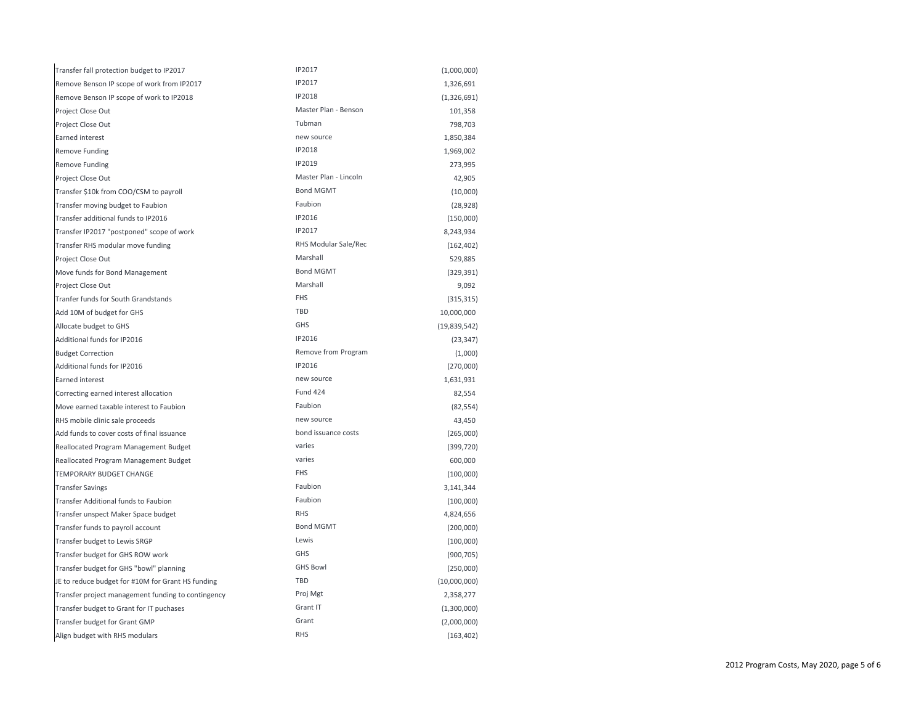| Transfer fall protection budget to IP2017          | IP2017                | (1,000,000)  |
|----------------------------------------------------|-----------------------|--------------|
| Remove Benson IP scope of work from IP2017         | IP2017                | 1,326,691    |
| Remove Benson IP scope of work to IP2018           | IP2018                | (1,326,691)  |
| Project Close Out                                  | Master Plan - Benson  | 101,358      |
| Project Close Out                                  | Tubman                | 798,703      |
| Earned interest                                    | new source            | 1,850,384    |
| Remove Funding                                     | IP2018                | 1,969,002    |
| Remove Funding                                     | IP2019                | 273,995      |
| Project Close Out                                  | Master Plan - Lincoln | 42,905       |
| Transfer \$10k from COO/CSM to payroll             | <b>Bond MGMT</b>      | (10,000)     |
| Transfer moving budget to Faubion                  | Faubion               | (28, 928)    |
| Transfer additional funds to IP2016                | IP2016                | (150,000)    |
| Transfer IP2017 "postponed" scope of work          | IP2017                | 8,243,934    |
| Transfer RHS modular move funding                  | RHS Modular Sale/Rec  | (162, 402)   |
| Project Close Out                                  | Marshall              | 529,885      |
| Move funds for Bond Management                     | <b>Bond MGMT</b>      | (329, 391)   |
| Project Close Out                                  | Marshall              | 9,092        |
| Tranfer funds for South Grandstands                | <b>FHS</b>            | (315, 315)   |
| Add 10M of budget for GHS                          | <b>TBD</b>            | 10,000,000   |
| Allocate budget to GHS                             | GHS                   | (19,839,542) |
| Additional funds for IP2016                        | IP2016                | (23, 347)    |
| <b>Budget Correction</b>                           | Remove from Program   | (1,000)      |
| Additional funds for IP2016                        | IP2016                | (270,000)    |
| Earned interest                                    | new source            | 1,631,931    |
| Correcting earned interest allocation              | <b>Fund 424</b>       | 82,554       |
| Move earned taxable interest to Faubion            | Faubion               | (82, 554)    |
| RHS mobile clinic sale proceeds                    | new source            | 43,450       |
| Add funds to cover costs of final issuance         | bond issuance costs   | (265,000)    |
| Reallocated Program Management Budget              | varies                | (399, 720)   |
| Reallocated Program Management Budget              | varies                | 600,000      |
| <b>TEMPORARY BUDGET CHANGE</b>                     | <b>FHS</b>            | (100,000)    |
| <b>Transfer Savings</b>                            | Faubion               | 3,141,344    |
| Transfer Additional funds to Faubion               | Faubion               | (100,000)    |
| Transfer unspect Maker Space budget                | <b>RHS</b>            | 4,824,656    |
| Transfer funds to payroll account                  | <b>Bond MGMT</b>      | (200,000)    |
| Transfer budget to Lewis SRGP                      | Lewis                 | (100,000)    |
| Transfer budget for GHS ROW work                   | GHS                   | (900, 705)   |
| Transfer budget for GHS "bowl" planning            | <b>GHS Bowl</b>       | (250,000)    |
| JE to reduce budget for #10M for Grant HS funding  | TBD                   | (10,000,000) |
| Transfer project management funding to contingency | Proj Mgt              | 2,358,277    |
| Transfer budget to Grant for IT puchases           | Grant IT              | (1,300,000)  |
| Transfer budget for Grant GMP                      | Grant                 | (2,000,000)  |
| Align budget with RHS modulars                     | <b>RHS</b>            | (163, 402)   |